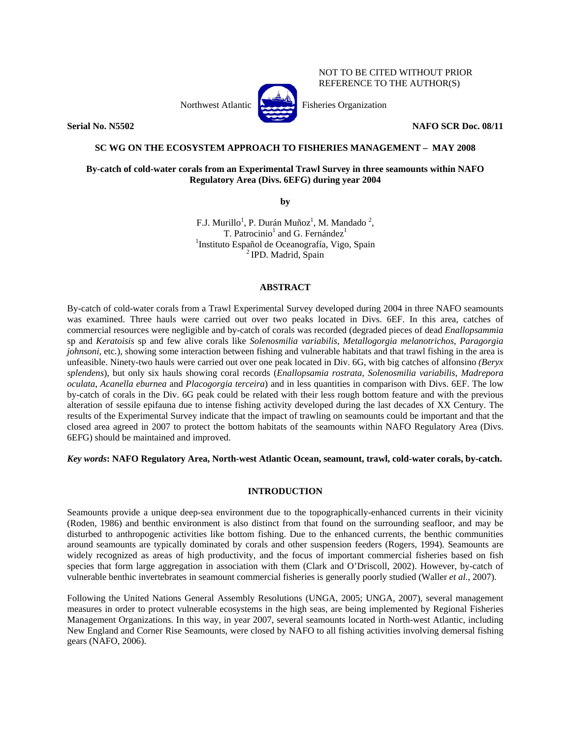Northwest Atlantic **Atlantic** Fisheries Organization



**Serial No. N5502 NAFO SCR Doc. 08/11** 

## NOT TO BE CITED WITHOUT PRIOR REFERENCE TO THE AUTHOR(S)

## **SC WG ON THE ECOSYSTEM APPROACH TO FISHERIES MANAGEMENT – MAY 2008**

# **By-catch of cold-water corals from an Experimental Trawl Survey in three seamounts within NAFO Regulatory Area (Divs. 6EFG) during year 2004**

**by** 

F.J. Murillo<sup>1</sup>, P. Durán Muñoz<sup>1</sup>, M. Mandado<sup>2</sup>, T. Patrocinio<sup>1</sup> and G. Fernández<sup>1</sup> <sup>1</sup>Instituto Español de Oceanografía, Vigo, Spain<sup>2</sup>IPD. Madrid, Spain

# **ABSTRACT**

By-catch of cold-water corals from a Trawl Experimental Survey developed during 2004 in three NAFO seamounts was examined. Three hauls were carried out over two peaks located in Divs. 6EF. In this area, catches of commercial resources were negligible and by-catch of corals was recorded (degraded pieces of dead *Enallopsammia* sp and *Keratoisis* sp and few alive corals like *Solenosmilia variabilis*, *Metallogorgia melanotrichos, Paragorgia johnsoni*, etc.), showing some interaction between fishing and vulnerable habitats and that trawl fishing in the area is unfeasible. Ninety-two hauls were carried out over one peak located in Div. 6G, with big catches of alfonsino *(Beryx splendens*), but only six hauls showing coral records (*Enallopsamia rostrata*, *Solenosmilia variabilis*, *Madrepora oculata*, *Acanella eburnea* and *Placogorgia terceira*) and in less quantities in comparison with Divs. 6EF. The low by-catch of corals in the Div. 6G peak could be related with their less rough bottom feature and with the previous alteration of sessile epifauna due to intense fishing activity developed during the last decades of XX Century. The results of the Experimental Survey indicate that the impact of trawling on seamounts could be important and that the closed area agreed in 2007 to protect the bottom habitats of the seamounts within NAFO Regulatory Area (Divs. 6EFG) should be maintained and improved.

*Key words***: NAFO Regulatory Area, North-west Atlantic Ocean, seamount, trawl, cold-water corals, by-catch.** 

## **INTRODUCTION**

Seamounts provide a unique deep-sea environment due to the topographically-enhanced currents in their vicinity (Roden, 1986) and benthic environment is also distinct from that found on the surrounding seafloor, and may be disturbed to anthropogenic activities like bottom fishing. Due to the enhanced currents, the benthic communities around seamounts are typically dominated by corals and other suspension feeders (Rogers, 1994). Seamounts are widely recognized as areas of high productivity, and the focus of important commercial fisheries based on fish species that form large aggregation in association with them (Clark and O'Driscoll, 2002). However, by-catch of vulnerable benthic invertebrates in seamount commercial fisheries is generally poorly studied (Waller *et al.*, 2007).

Following the United Nations General Assembly Resolutions (UNGA, 2005; UNGA, 2007), several management measures in order to protect vulnerable ecosystems in the high seas, are being implemented by Regional Fisheries Management Organizations. In this way, in year 2007, several seamounts located in North-west Atlantic, including New England and Corner Rise Seamounts, were closed by NAFO to all fishing activities involving demersal fishing gears (NAFO, 2006).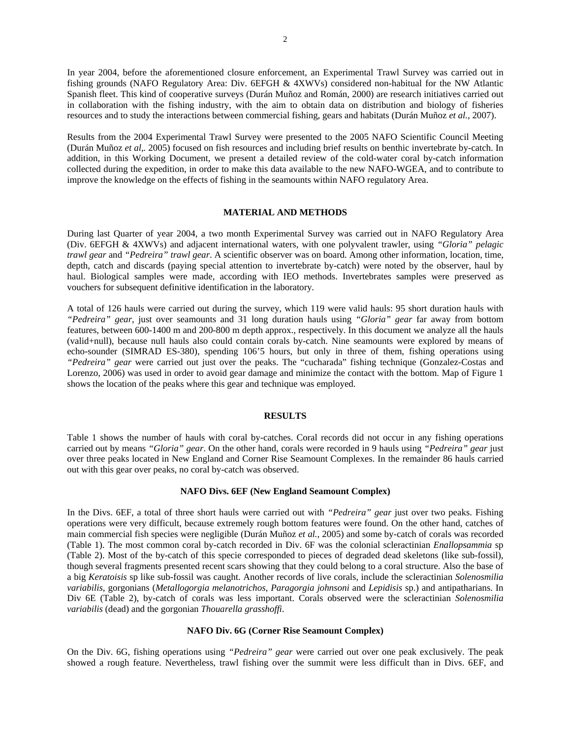In year 2004, before the aforementioned closure enforcement, an Experimental Trawl Survey was carried out in fishing grounds (NAFO Regulatory Area: Div. 6EFGH & 4XWVs) considered non-habitual for the NW Atlantic Spanish fleet. This kind of cooperative surveys (Durán Muñoz and Román, 2000) are research initiatives carried out in collaboration with the fishing industry, with the aim to obtain data on distribution and biology of fisheries resources and to study the interactions between commercial fishing, gears and habitats (Durán Muñoz *et al.,* 2007).

Results from the 2004 Experimental Trawl Survey were presented to the 2005 NAFO Scientific Council Meeting (Durán Muñoz *et al,.* 2005) focused on fish resources and including brief results on benthic invertebrate by-catch. In addition, in this Working Document, we present a detailed review of the cold-water coral by-catch information collected during the expedition, in order to make this data available to the new NAFO-WGEA, and to contribute to improve the knowledge on the effects of fishing in the seamounts within NAFO regulatory Area.

## **MATERIAL AND METHODS**

During last Quarter of year 2004, a two month Experimental Survey was carried out in NAFO Regulatory Area (Div. 6EFGH & 4XWVs) and adjacent international waters, with one polyvalent trawler, using *"Gloria" pelagic trawl gear* and *"Pedreira" trawl gear*. A scientific observer was on board. Among other information, location, time, depth, catch and discards (paying special attention to invertebrate by-catch) were noted by the observer, haul by haul. Biological samples were made, according with IEO methods. Invertebrates samples were preserved as vouchers for subsequent definitive identification in the laboratory.

A total of 126 hauls were carried out during the survey, which 119 were valid hauls: 95 short duration hauls with *"Pedreira" gear*, just over seamounts and 31 long duration hauls using *"Gloria" gear* far away from bottom features, between 600-1400 m and 200-800 m depth approx., respectively. In this document we analyze all the hauls (valid+null), because null hauls also could contain corals by-catch. Nine seamounts were explored by means of echo-sounder (SIMRAD ES-380), spending 106'5 hours, but only in three of them, fishing operations using *"Pedreira" gear* were carried out just over the peaks. The "cucharada" fishing technique (Gonzalez-Costas and Lorenzo, 2006) was used in order to avoid gear damage and minimize the contact with the bottom. Map of Figure 1 shows the location of the peaks where this gear and technique was employed.

#### **RESULTS**

Table 1 shows the number of hauls with coral by-catches. Coral records did not occur in any fishing operations carried out by means *"Gloria" gear*. On the other hand, corals were recorded in 9 hauls using *"Pedreira" gear* just over three peaks located in New England and Corner Rise Seamount Complexes. In the remainder 86 hauls carried out with this gear over peaks, no coral by-catch was observed.

#### **NAFO Divs. 6EF (New England Seamount Complex)**

In the Divs. 6EF, a total of three short hauls were carried out with *"Pedreira" gear* just over two peaks. Fishing operations were very difficult, because extremely rough bottom features were found. On the other hand, catches of main commercial fish species were negligible (Durán Muñoz *et al.,* 2005) and some by-catch of corals was recorded (Table 1). The most common coral by-catch recorded in Div. 6F was the colonial scleractinian *Enallopsammia* sp (Table 2). Most of the by-catch of this specie corresponded to pieces of degraded dead skeletons (like sub-fossil), though several fragments presented recent scars showing that they could belong to a coral structure. Also the base of a big *Keratoisis* sp like sub-fossil was caught. Another records of live corals, include the scleractinian *Solenosmilia variabilis*, gorgonians (*Metallogorgia melanotrichos, Paragorgia johnsoni* and *Lepidisis* sp.) and antipatharians. In Div 6E (Table 2), by-catch of corals was less important. Corals observed were the scleractinian *Solenosmilia variabilis* (dead) and the gorgonian *Thouarella grasshoffi*.

## **NAFO Div. 6G (Corner Rise Seamount Complex)**

On the Div. 6G, fishing operations using *"Pedreira" gear* were carried out over one peak exclusively. The peak showed a rough feature. Nevertheless, trawl fishing over the summit were less difficult than in Divs. 6EF, and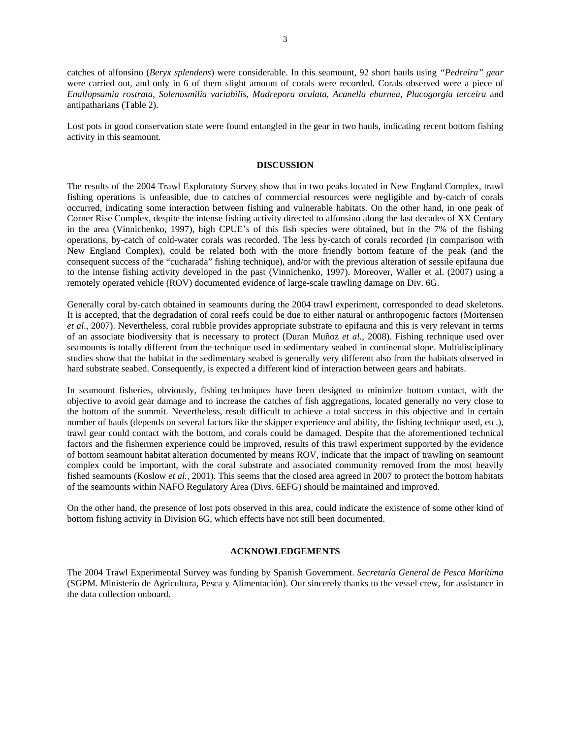catches of alfonsino (*Beryx splendens*) were considerable. In this seamount, 92 short hauls using *"Pedreira" gear* were carried out, and only in 6 of them slight amount of corals were recorded. Corals observed were a piece of *Enallopsamia rostrata*, *Solenosmilia variabilis*, *Madrepora oculata*, *Acanella eburnea*, *Placogorgia terceira* and antipatharians (Table 2).

Lost pots in good conservation state were found entangled in the gear in two hauls, indicating recent bottom fishing activity in this seamount.

### **DISCUSSION**

The results of the 2004 Trawl Exploratory Survey show that in two peaks located in New England Complex, trawl fishing operations is unfeasible, due to catches of commercial resources were negligible and by-catch of corals occurred, indicating some interaction between fishing and vulnerable habitats. On the other hand, in one peak of Corner Rise Complex, despite the intense fishing activity directed to alfonsino along the last decades of XX Century in the area (Vinnichenko, 1997), high CPUE's of this fish species were obtained, but in the 7% of the fishing operations, by-catch of cold-water corals was recorded. The less by-catch of corals recorded (in comparison with New England Complex), could be related both with the more friendly bottom feature of the peak (and the consequent success of the "cucharada" fishing technique), and/or with the previous alteration of sessile epifauna due to the intense fishing activity developed in the past (Vinnichenko, 1997). Moreover, Waller et al. (2007) using a remotely operated vehicle (ROV) documented evidence of large-scale trawling damage on Div. 6G.

Generally coral by-catch obtained in seamounts during the 2004 trawl experiment, corresponded to dead skeletons. It is accepted, that the degradation of coral reefs could be due to either natural or anthropogenic factors (Mortensen *et al*., 2007). Nevertheless, coral rubble provides appropriate substrate to epifauna and this is very relevant in terms of an associate biodiversity that is necessary to protect (Duran Muñoz *et al.*, 2008). Fishing technique used over seamounts is totally different from the technique used in sedimentary seabed in continental slope. Multidisciplinary studies show that the habitat in the sedimentary seabed is generally very different also from the habitats observed in hard substrate seabed. Consequently, is expected a different kind of interaction between gears and habitats.

In seamount fisheries, obviously, fishing techniques have been designed to minimize bottom contact, with the objective to avoid gear damage and to increase the catches of fish aggregations, located generally no very close to the bottom of the summit. Nevertheless, result difficult to achieve a total success in this objective and in certain number of hauls (depends on several factors like the skipper experience and ability, the fishing technique used, etc.), trawl gear could contact with the bottom, and corals could be damaged. Despite that the aforementioned technical factors and the fishermen experience could be improved, results of this trawl experiment supported by the evidence of bottom seamount habitat alteration documented by means ROV, indicate that the impact of trawling on seamount complex could be important, with the coral substrate and associated community removed from the most heavily fished seamounts (Koslow *et al.,* 2001). This seems that the closed area agreed in 2007 to protect the bottom habitats of the seamounts within NAFO Regulatory Area (Divs. 6EFG) should be maintained and improved.

On the other hand, the presence of lost pots observed in this area, could indicate the existence of some other kind of bottom fishing activity in Division 6G, which effects have not still been documented.

### **ACKNOWLEDGEMENTS**

The 2004 Trawl Experimental Survey was funding by Spanish Government. *Secretaría General de Pesca Marítima* (SGPM. Ministerio de Agricultura, Pesca y Alimentación). Our sincerely thanks to the vessel crew, for assistance in the data collection onboard.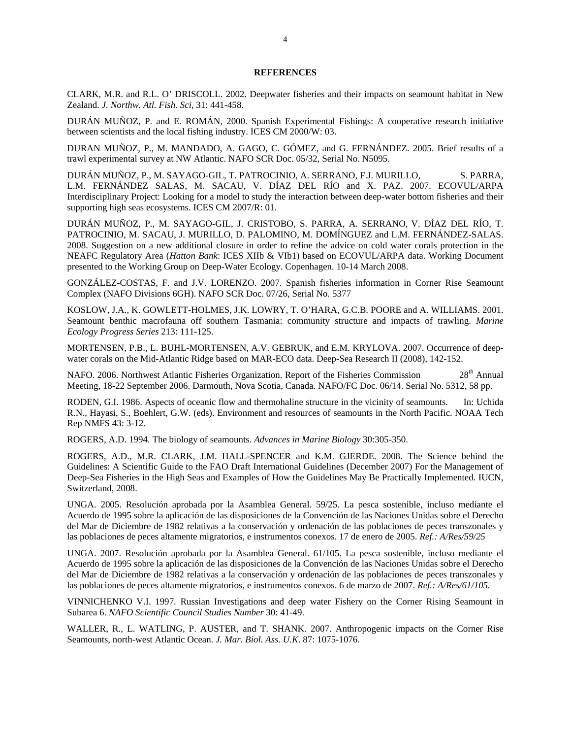### **REFERENCES**

CLARK, M.R. and R.L. O' DRISCOLL. 2002. Deepwater fisheries and their impacts on seamount habitat in New Zealand. *J. Northw. Atl. Fish. Sci,* 31: 441-458.

DURÁN MUÑOZ, P. and E. ROMÁN, 2000. Spanish Experimental Fishings: A cooperative research initiative between scientists and the local fishing industry. ICES CM 2000/W: 03.

DURAN MUÑOZ, P., M. MANDADO, A. GAGO, C. GÓMEZ, and G. FERNÁNDEZ. 2005. Brief results of a trawl experimental survey at NW Atlantic. NAFO SCR Doc. 05/32, Serial No. N5095.

DURÁN MUÑOZ, P., M. SAYAGO-GIL, T. PATROCINIO, A. SERRANO, F.J. MURILLO, S. PARRA, L.M. FERNÁNDEZ SALAS, M. SACAU, V. DÍAZ DEL RÍO and X. PAZ. 2007. ECOVUL/ARPA Interdisciplinary Project: Looking for a model to study the interaction between deep-water bottom fisheries and their supporting high seas ecosystems. ICES CM 2007/R: 01.

DURÁN MUÑOZ, P., M. SAYAGO-GIL, J. CRISTOBO, S. PARRA, A. SERRANO, V. DÍAZ DEL RÍO, T. PATROCINIO, M. SACAU, J. MURILLO, D. PALOMINO, M. DOMÍNGUEZ and L.M. FERNÁNDEZ-SALAS. 2008. Suggestion on a new additional closure in order to refine the advice on cold water corals protection in the NEAFC Regulatory Area (*Hatton Bank*: ICES XIIb & VIb1) based on ECOVUL/ARPA data. Working Document presented to the Working Group on Deep-Water Ecology. Copenhagen. 10-14 March 2008.

GONZÁLEZ-COSTAS, F. and J.V. LORENZO. 2007. Spanish fisheries information in Corner Rise Seamount Complex (NAFO Divisions 6GH). NAFO SCR Doc. 07/26, Serial No. 5377

KOSLOW, J.A., K. GOWLETT-HOLMES, J.K. LOWRY, T. O'HARA, G.C.B. POORE and A. WILLIAMS. 2001. Seamount benthic macrofauna off southern Tasmania: community structure and impacts of trawling. *Marine Ecology Progress Series* 213: 111-125.

MORTENSEN, P.B., L. BUHL-MORTENSEN, A.V. GEBRUK, and E.M. KRYLOVA. 2007. Occurrence of deepwater corals on the Mid-Atlantic Ridge based on MAR-ECO data. Deep-Sea Research II (2008), 142-152.

NAFO. 2006. Northwest Atlantic Fisheries Organization. Report of the Fisheries Commission 28<sup>th</sup> Annual Meeting, 18-22 September 2006. Darmouth, Nova Scotia, Canada. NAFO/FC Doc. 06/14. Serial No. 5312, 58 pp.

RODEN, G.I. 1986. Aspects of oceanic flow and thermohaline structure in the vicinity of seamounts. In: Uchida R.N., Hayasi, S., Boehlert, G.W. (eds). Environment and resources of seamounts in the North Pacific. NOAA Tech Rep NMFS 43: 3-12.

ROGERS, A.D. 1994. The biology of seamounts. *Advances in Marine Biology* 30:305-350.

ROGERS, A.D., M.R. CLARK, J.M. HALL-SPENCER and K.M. GJERDE. 2008. The Science behind the Guidelines: A Scientific Guide to the FAO Draft International Guidelines (December 2007) For the Management of Deep-Sea Fisheries in the High Seas and Examples of How the Guidelines May Be Practically Implemented. IUCN, Switzerland, 2008.

UNGA. 2005. Resolución aprobada por la Asamblea General. 59/25. La pesca sostenible, incluso mediante el Acuerdo de 1995 sobre la aplicación de las disposiciones de la Convención de las Naciones Unidas sobre el Derecho del Mar de Diciembre de 1982 relativas a la conservación y ordenación de las poblaciones de peces transzonales y las poblaciones de peces altamente migratorios, e instrumentos conexos. 17 de enero de 2005. *Ref.: A/Res/59/25* 

UNGA. 2007. Resolución aprobada por la Asamblea General. 61/105. La pesca sostenible, incluso mediante el Acuerdo de 1995 sobre la aplicación de las disposiciones de la Convención de las Naciones Unidas sobre el Derecho del Mar de Diciembre de 1982 relativas a la conservación y ordenación de las poblaciones de peces transzonales y las poblaciones de peces altamente migratorios, e instrumentos conexos. 6 de marzo de 2007. *Ref.: A/Res/61/105.* 

VINNICHENKO V.I. 1997. Russian Investigations and deep water Fishery on the Corner Rising Seamount in Subarea 6. *NAFO Scientific Council Studies Number* 30: 41-49.

WALLER, R., L. WATLING, P. AUSTER, and T. SHANK. 2007. Anthropogenic impacts on the Corner Rise Seamounts, north-west Atlantic Ocean. *J. Mar. Biol. Ass. U.K*. 87: 1075-1076.